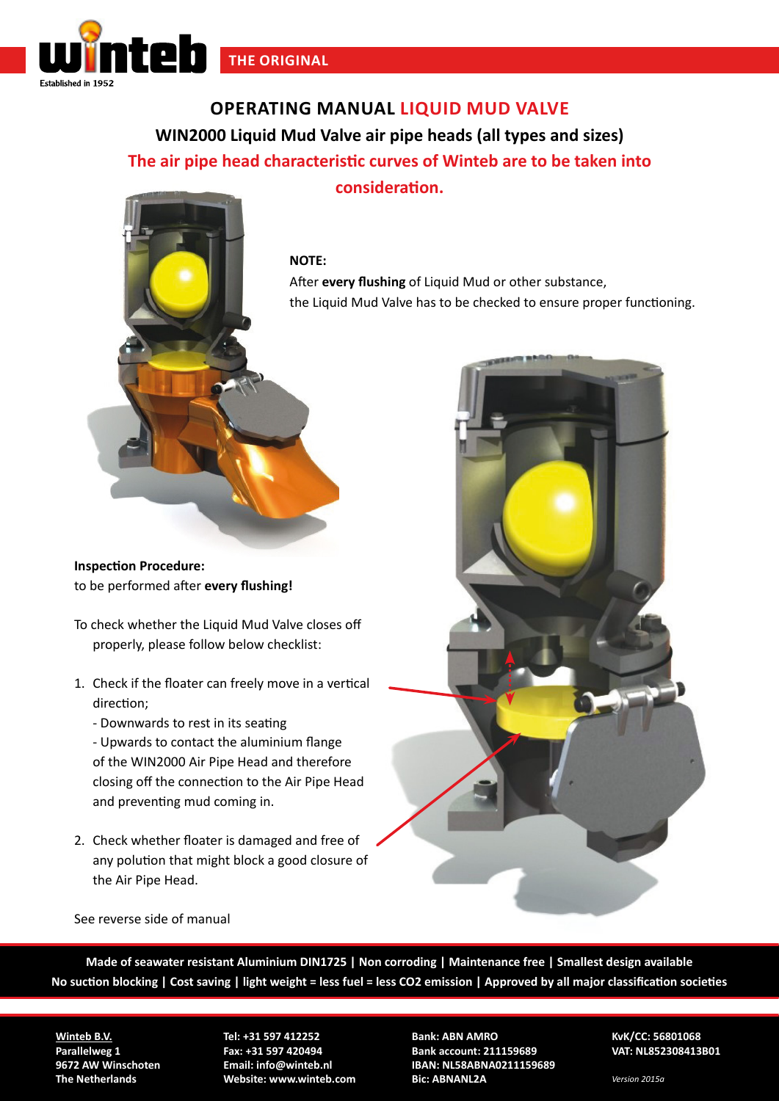

**OPERATING MANUAL LIQUID MUD VALVE WIN2000 Liquid Mud Valve air pipe heads (all types and sizes) The air pipe head characteristic curves of Winteb are to be taken into consideration.**

## **NOTE:**

After **every flushing** of Liquid Mud or other substance, the Liquid Mud Valve has to be checked to ensure proper functioning.

**Inspection Procedure:**  to be performed after **every flushing!**

- To check whether the Liquid Mud Valve closes off properly, please follow below checklist:
- 1. Check if the floater can freely move in a vertical direction;
	- Downwards to rest in its seating

- Upwards to contact the aluminium flange of the WIN2000 Air Pipe Head and therefore closing off the connection to the Air Pipe Head and preventing mud coming in.

2. Check whether floater is damaged and free of any polution that might block a good closure of the Air Pipe Head.



## See reverse side of manual

**Made of seawater resistant Aluminium DIN1725 | Non corroding | Maintenance free | Smallest design available No suction blocking | Cost saving | light weight = less fuel = less CO2 emission | Approved by all major classification societies**

**Winteb B.V. Parallelweg 1 9672 AW Winschoten The Netherlands**

**Tel: +31 597 412252 Fax: +31 597 420494 Email: info@winteb.nl Website: www.winteb.com** **Bank: ABN AMRO Bank account: 211159689 IBAN: NL58ABNA0211159689 Bic: ABNANL2A**

**KvK/CC: 56801068 VAT: NL852308413B01**

*Version 2015a*